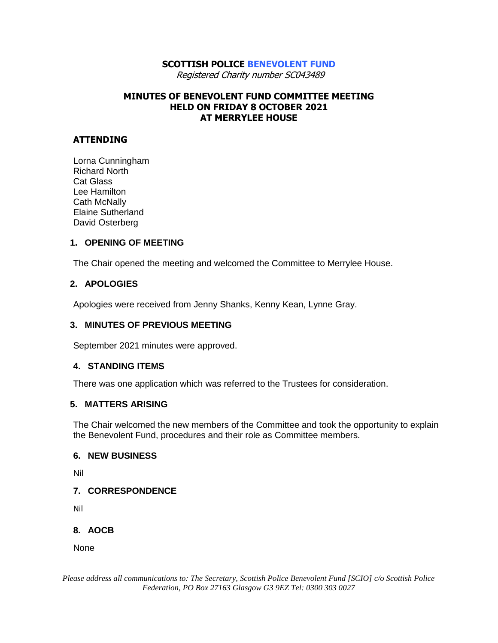# **SCOTTISH POLICE BENEVOLENT FUND**

Registered Charity number SC043489

### **MINUTES OF BENEVOLENT FUND COMMITTEE MEETING HELD ON FRIDAY 8 OCTOBER 2021 AT MERRYLEE HOUSE**

## **ATTENDING**

Lorna Cunningham Richard North Cat Glass Lee Hamilton Cath McNally Elaine Sutherland David Osterberg

#### **1. OPENING OF MEETING**

The Chair opened the meeting and welcomed the Committee to Merrylee House.

#### **2. APOLOGIES**

Apologies were received from Jenny Shanks, Kenny Kean, Lynne Gray.

#### **3. MINUTES OF PREVIOUS MEETING**

September 2021 minutes were approved.

#### **4. STANDING ITEMS**

There was one application which was referred to the Trustees for consideration.

#### **5. MATTERS ARISING**

The Chair welcomed the new members of the Committee and took the opportunity to explain the Benevolent Fund, procedures and their role as Committee members.

#### **6. NEW BUSINESS**

Nil

#### **7. CORRESPONDENCE**

Nil

## **8. AOCB**

None

*Please address all communications to: The Secretary, Scottish Police Benevolent Fund [SCIO] c/o Scottish Police Federation, PO Box 27163 Glasgow G3 9EZ Tel: 0300 303 0027*